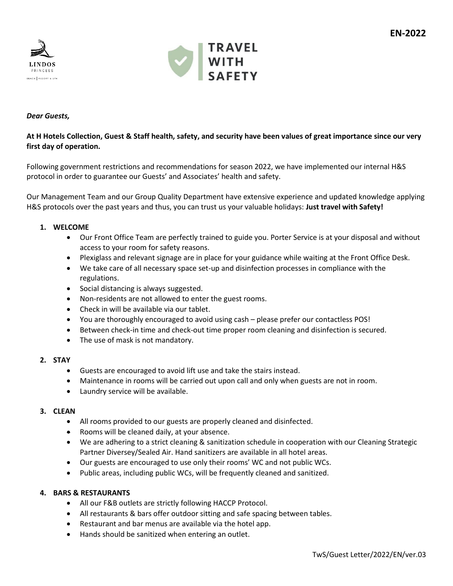



# *Dear Guests,*

# **At H Hotels Collection, Guest & Staff health, safety, and security have been values of great importance since our very first day of operation.**

Following government restrictions and recommendations for season 2022, we have implemented our internal H&S protocol in order to guarantee our Guests' and Associates' health and safety.

Our Management Team and our Group Quality Department have extensive experience and updated knowledge applying H&S protocols over the past years and thus, you can trust us your valuable holidays: **Just travel with Safety!**

## **1. WELCOME**

- Our Front Office Team are perfectly trained to guide you. Porter Service is at your disposal and without access to your room for safety reasons.
- Plexiglass and relevant signage are in place for your guidance while waiting at the Front Office Desk.
- We take care of all necessary space set-up and disinfection processes in compliance with the regulations.
- Social distancing is always suggested.
- Non-residents are not allowed to enter the guest rooms.
- Check in will be available via our tablet.
- You are thoroughly encouraged to avoid using cash please prefer our contactless POS!
- Between check-in time and check-out time proper room cleaning and disinfection is secured.
- The use of mask is not mandatory.

#### **2. STAY**

- Guests are encouraged to avoid lift use and take the stairs instead.
- Maintenance in rooms will be carried out upon call and only when guests are not in room.
- Laundry service will be available.

## **3. CLEAN**

- All rooms provided to our guests are properly cleaned and disinfected.
- Rooms will be cleaned daily, at your absence.
- We are adhering to a strict cleaning & sanitization schedule in cooperation with our Cleaning Strategic Partner Diversey/Sealed Air. Hand sanitizers are available in all hotel areas.
- Our guests are encouraged to use only their rooms' WC and not public WCs.
- Public areas, including public WCs, will be frequently cleaned and sanitized.

#### **4. BARS & RESTAURANTS**

- All our F&B outlets are strictly following HACCP Protocol.
- All restaurants & bars offer outdoor sitting and safe spacing between tables.
- Restaurant and bar menus are available via the hotel app.
- Hands should be sanitized when entering an outlet.